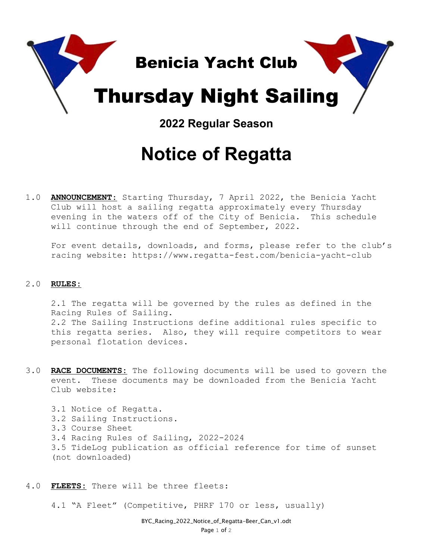

## **Notice of Regatta**

1.0 **ANNOUNCEMENT**: Starting Thursday, 7 April 2022, the Benicia Yacht Club will host a sailing regatta approximately every Thursday evening in the waters off of the City of Benicia. This schedule will continue through the end of September, 2022.

For event details, downloads, and forms, please refer to the club's racing website: https://www.regatta-fest.com/benicia-yacht-club

## 2.0 **RULES:**

2.1 The regatta will be governed by the rules as defined in the Racing Rules of Sailing. 2.2 The Sailing Instructions define additional rules specific to this regatta series. Also, they will require competitors to wear personal flotation devices.

3.0 **RACE DOCUMENTS:** The following documents will be used to govern the event. These documents may be downloaded from the Benicia Yacht Club website:

3.1 Notice of Regatta. 3.2 Sailing Instructions. 3.3 Course Sheet 3.4 Racing Rules of Sailing, 2022-2024 3.5 TideLog publication as official reference for time of sunset (not downloaded)

4.0 **FLEETS:** There will be three fleets:

4.1 "A Fleet" (Competitive, PHRF 170 or less, usually)